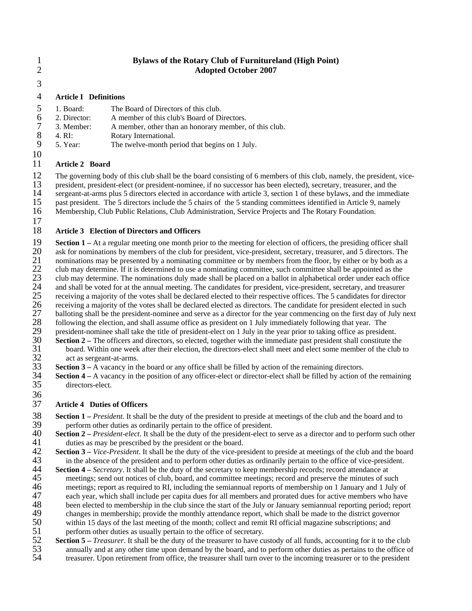## 1 **Bylaws of the Rotary Club of Furnitureland (High Point)**  2 **Adopted October 2007**

3

### 4 **Article I Definitions**

- 5 1. Board: The Board of Directors of this club.<br>6 2. Director: A member of this club's Board of D.
- 6 2. Director: A member of this club's Board of Directors.<br>
7 3. Member: A member, other than an honorary member,
- 7 3. Member: A member, other than an honorary member, of this club.<br>8 4. RI: Rotary International.
- 8 4. RI: Rotary International.<br>9 5. Year: The twelve-month pe
- 5. Year: The twelve-month period that begins on 1 July.
- 10

## 11 **Article 2 Board**

12 The governing body of this club shall be the board consisting of 6 members of this club, namely, the president, vice-<br>13 resident president-elect (or president-nominee, if no successor has been elected), secretary, trea 13 president, president-elect (or president-nominee, if no successor has been elected), secretary, treasurer, and the sergeant-at-arms plus 5 directors elected in accordance with article 3, section 1 of these bylaws, and t

14 sergeant-at-arms plus 5 directors elected in accordance with article 3, section 1 of these bylaws, and the immediate<br>15 past president. The 5 directors include the 5 chairs of the 5 standing committees identified in Art

15 past president. The 5 directors include the 5 chairs of the 5 standing committees identified in Article 9, namely 16 Membership, Club Public Relations, Club Administration, Service Projects and The Rotary Foundation.

- 16 Membership, Club Public Relations, Club Administration, Service Projects and The Rotary Foundation.
- 17

# 18 **Article 3 Election of Directors and Officers**

**19 Section 1** – At a regular meeting one month prior to the meeting for election of officers, the presiding officer shall ask for nominations by members of the club for president, vice-president, secretary, treasurer, a 20 ask for nominations by members of the club for president, vice-president, secretary, treasurer, and 5 directors. The nominations may be presented by a nominating committee or by members from the floor, by either or by b 21 nominations may be presented by a nominating committee or by members from the floor, by either or by both as a<br>22 club may determine. If it is determined to use a nominating committee, such committee shall be appointed 22 club may determine. If it is determined to use a nominating committee, such committee shall be appointed as the<br>23 club may determine. The nominations duly made shall be placed on a ballot in alphabetical order under ea 23 club may determine. The nominations duly made shall be placed on a ballot in alphabetical order under each office<br>24 and shall be voted for at the annual meeting. The candidates for president, vice-president, secretary, 24 and shall be voted for at the annual meeting. The candidates for president, vice-president, secretary, and treasurer receiving a majority of the votes shall be declared elected to their respective offices. The 5 candida 25 receiving a majority of the votes shall be declared elected to their respective offices. The 5 candidates for director receiving a majority of the votes shall be declared elected as directors. The candidate for presiden 26 receiving a majority of the votes shall be declared elected as directors. The candidate for president elected in such 27 balloting shall be the president-nominee and serve as a director for the year commencing on the fi 27 balloting shall be the president-nominee and serve as a director for the year commencing on the first day of July next<br>28 following the election, and shall assume office as president on 1 July immediately following that 28 following the election, and shall assume office as president on 1 July immediately following that year. The president-nominee shall take the title of president-elect on 1 July in the year prior to taking office as presi 29 president-nominee shall take the title of president-elect on 1 July in the year prior to taking office as president.<br>30 **Section 2** – The officers and directors, so elected, together with the immediate past president sh

- 30 **Section 2** The officers and directors, so elected, together with the immediate past president shall constitute the board. Within one week after their election, the directors-elect shall meet and elect some member of 31 board. Within one week after their election, the directors-elect shall meet and elect some member of the club to act as sergeant-at-arms. 32 act as sergeant-at-arms.<br>33 **Section 3** – A vacancy in the
- **33 Section 3** A vacancy in the board or any office shall be filled by action of the remaining directors.<br>**34 Section 4** A vacancy in the position of any officer-elect or director-elect shall be filled by action or
- **Section 4** A vacancy in the position of any officer-elect or director-elect shall be filled by action of the remaining directors-elect. directors-elect. 36

## 37 **Article 4 Duties of Officers**

- **Section 1** *President*. It shall be the duty of the president to preside at meetings of the club and the board and to perform other duties as ordinarily pertain to the office of president. 39 perform other duties as ordinarily pertain to the office of president.<br>40 **Section 2** – *President-elect*. It shall be the duty of the president-elect to
- **40 Section 2** *President-elect*. It shall be the duty of the president-elect to serve as a director and to perform such other duties as may be prescribed by the president or the board. 41 duties as may be prescribed by the president or the board.<br>42 **Section 3** – *Vice-President*. It shall be the duty of the vice-pre
- **Section 3** *Vice-President*. It shall be the duty of the vice-president to preside at meetings of the club and the board in the absence of the president and to perform other duties as ordinarily pertain to the office of 43 in the absence of the president and to perform other duties as ordinarily pertain to the office of vice-president.<br>44 **Section 4** – *Secretary*. It shall be the duty of the secretary to keep membership records; record a
- **Section 4** *Secretary*. It shall be the duty of the secretary to keep membership records; record attendance at meetings; send out notices of club, board, and committee meetings; record and preserve the minutes of su meetings; send out notices of club, board, and committee meetings; record and preserve the minutes of such 46 meetings; report as required to RI, including the semiannual reports of membership on 1 January and 1 July of each year, which shall include per capita dues for all members and prorated dues for active members who have 47 each year, which shall include per capita dues for all members and prorated dues for active members who have<br>48 been elected to membership in the club since the start of the July or January semiannual reporting period; 48 been elected to membership in the club since the start of the July or January semiannual reporting period; report changes in membership; provide the monthly attendance report, which shall be made to the district governo 49 changes in membership; provide the monthly attendance report, which shall be made to the district governor<br>50 within 15 days of the last meeting of the month; collect and remit RI official magazine subscriptions; and 50 within 15 days of the last meeting of the month; collect and remit RI official magazine subscriptions; and perform other duties as usually pertain to the office of secretary.
- 51 perform other duties as usually pertain to the office of secretary.<br>52 **Section 5** *Treasurer*. It shall be the duty of the treasurer to have cu
- **Section 5** *Treasurer*. It shall be the duty of the treasurer to have custody of all funds, accounting for it to the club annually and at any other time upon demand by the board, and to perform other duties as pertains 53 annually and at any other time upon demand by the board, and to perform other duties as pertains to the office of<br>54 treasurer Upon retirement from office the treasurer shall turn over to the incoming treasurer or to th treasurer. Upon retirement from office, the treasurer shall turn over to the incoming treasurer or to the president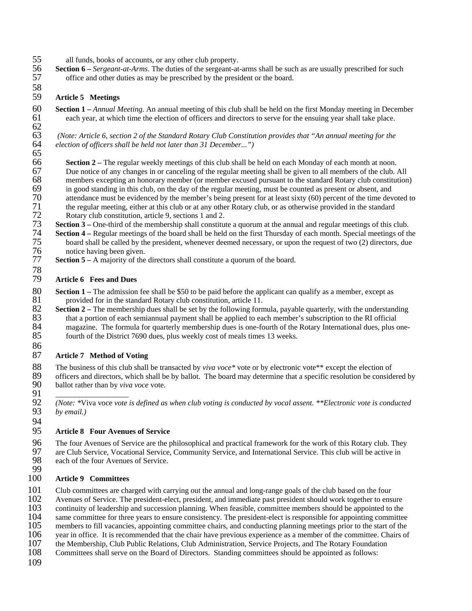- 55 all funds, books of accounts, or any other club property.<br>56 **Section 6** *Sergeant-at-Arms*. The duties of the sergeant-at-
- 56 **Section 6** *Sergeant-at-Arms*. The duties of the sergeant-at-arms shall be such as are usually prescribed for such office and other duties as may be prescribed by the president or the board. 57 office and other duties as may be prescribed by the president or the board.

### 59 **Article 5 Meetings**

58

65

78

86

60 **Section 1 –** *Annual Meeting.* An annual meeting of this club shall be held on the first Monday meeting in December 61 each year, at which time the election of officers and directors to serve for the ensuing year shall take place. 62<br>63

63 *(Note: Article 6, section 2 of the Standard Rotary Club Constitution provides that "An annual meeting for the*  election of officers shall be held not later than 31 December...")

**Section 2** – The regular weekly meetings of this club shall be held on each Monday of each month at noon. 67 Due notice of any changes in or canceling of the regular meeting shall be given to all members of the club. All 68 members excepting an honorary member (or member excused pursuant to the standard Rotary club constitution)<br>69 in good standing in this club, on the day of the regular meeting, must be counted as present or absent, and 69 in good standing in this club, on the day of the regular meeting, must be counted as present or absent, and attendance must be evidenced by the member's being present for at least sixty (60) percent of the time dev 70 attendance must be evidenced by the member's being present for at least sixty (60) percent of the time devoted to<br>71 the regular meeting, either at this club or at any other Rotary club, or as otherwise provided in the 71 the regular meeting, either at this club or at any other Rotary club, or as otherwise provided in the standard Rotary club constitution, article 9, sections 1 and 2. 72 Rotary club constitution, article 9, sections 1 and 2.<br>73 Section 3 – One-third of the membership shall constitu

- 73 **Section 3** One-third of the membership shall constitute a quorum at the annual and regular meetings of this club.<br>74 **Section 4** Regular meetings of the board shall be held on the first Thursday of each month. Spec
- **Section 4** Regular meetings of the board shall be held on the first Thursday of each month. Special meetings of the board shall be called by the president, whenever deemed necessary, or upon the request of two (2) direc 75 board shall be called by the president, whenever deemed necessary, or upon the request of two (2) directors, due notice having been given. 76 notice having been given.<br>77 **Section 5** – A maiority of the
	- **Section 5 A** majority of the directors shall constitute a quorum of the board.

### 79 **Article 6 Fees and Dues**

- 80 **Section 1** The admission fee shall be \$50 to be paid before the applicant can qualify as a member, except as 81 provided for in the standard Rotary club constitution, article 11.<br>82 **Section 2** – The membership dues shall be set by the following form
- 82 **Section 2** The membership dues shall be set by the following formula, payable quarterly, with the understanding that a portion of each semiannual payment shall be applied to each member's subscription to the RI offic 83 that a portion of each semiannual payment shall be applied to each member's subscription to the RI official<br>84 magazine. The formula for quarterly membership dues is one-fourth of the Rotary International dues, plus of 84 magazine. The formula for quarterly membership dues is one-fourth of the Rotary International dues, plus one-<br>85 fourth of the District 7690 dues, plus weekly cost of meals times 13 weeks. fourth of the District 7690 dues, plus weekly cost of meals times 13 weeks.

## 87 **Article 7 Method of Voting**

88 The business of this club shall be transacted by *viva voce*\* vote or by electronic vote\*\* except the election of officers and directors, which shall be by ballot. The board may determine that a specific resolution be c 89 officers and directors, which shall be by ballot. The board may determine that a specific resolution be considered by 90 ballot rather than by *viva voce* vote. 91 *\_\_\_\_\_\_\_\_\_\_\_\_\_\_\_\_\_\_\_* 

92 *(Note: \**Viva voce *vote is defined as when club voting is conducted by vocal assent. \*\*Electronic vote is conducted*  by email.)

94

## 95 **Article 8 Four Avenues of Service**

96 The four Avenues of Service are the philosophical and practical framework for the work of this Rotary club. They<br>97 are Club Service. Vocational Service. Community Service, and International Service. This club will be a 97 are Club Service, Vocational Service, Community Service, and International Service. This club will be active in<br>98 each of the four Avenues of Service. each of the four Avenues of Service. 99

#### 100 **Article 9 Committees**

101 Club committees are charged with carrying out the annual and long-range goals of the club based on the four

102 Avenues of Service. The president-elect, president, and immediate past president should work together to ensure<br>103 continuity of leadership and succession planning. When feasible, committee members should be appointed

103 continuity of leadership and succession planning. When feasible, committee members should be appointed to the<br>104 same committee for three years to ensure consistency. The president-elect is responsible for appointing

104 same committee for three years to ensure consistency. The president-elect is responsible for appointing committee<br>105 members to fill vacancies, appointing committee chairs, and conducting planning meetings prior to th

- 105 members to fill vacancies, appointing committee chairs, and conducting planning meetings prior to the start of the vear in office. It is recommended that the chair have previous experience as a member of the committee.
- 106 year in office. It is recommended that the chair have previous experience as a member of the committee. Chairs of the Membership, Club Public Relations, Club Administration, Service Projects, and The Rotary Foundation
- 107 the Membership, Club Public Relations, Club Administration, Service Projects, and The Rotary Foundation<br>108 Committees shall serve on the Board of Directors. Standing committees should be appointed as follows:
- Committees shall serve on the Board of Directors. Standing committees should be appointed as follows:
- 109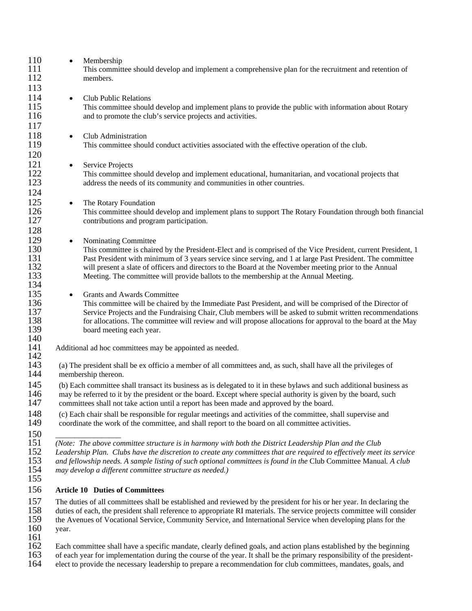| 110<br>111<br>112 | $\bullet$                                                                                                            | Membership<br>This committee should develop and implement a comprehensive plan for the recruitment and retention of<br>members.                                     |
|-------------------|----------------------------------------------------------------------------------------------------------------------|---------------------------------------------------------------------------------------------------------------------------------------------------------------------|
| 113               |                                                                                                                      |                                                                                                                                                                     |
| 114               | $\bullet$                                                                                                            | <b>Club Public Relations</b>                                                                                                                                        |
| 115<br>116        |                                                                                                                      | This committee should develop and implement plans to provide the public with information about Rotary<br>and to promote the club's service projects and activities. |
| 117               |                                                                                                                      |                                                                                                                                                                     |
| 118<br>119        | $\bullet$                                                                                                            | Club Administration<br>This committee should conduct activities associated with the effective operation of the club.                                                |
| 120               |                                                                                                                      |                                                                                                                                                                     |
| 121               | $\bullet$                                                                                                            | Service Projects                                                                                                                                                    |
| 122               |                                                                                                                      | This committee should develop and implement educational, humanitarian, and vocational projects that                                                                 |
| 123               |                                                                                                                      | address the needs of its community and communities in other countries.                                                                                              |
|                   |                                                                                                                      |                                                                                                                                                                     |
| 124               |                                                                                                                      |                                                                                                                                                                     |
| 125               | $\bullet$                                                                                                            | The Rotary Foundation                                                                                                                                               |
| 126               |                                                                                                                      | This committee should develop and implement plans to support The Rotary Foundation through both financial                                                           |
| 127               |                                                                                                                      | contributions and program participation.                                                                                                                            |
| 128               |                                                                                                                      |                                                                                                                                                                     |
| 129               |                                                                                                                      | Nominating Committee                                                                                                                                                |
| 130               | $\bullet$                                                                                                            |                                                                                                                                                                     |
|                   |                                                                                                                      | This committee is chaired by the President-Elect and is comprised of the Vice President, current President, 1                                                       |
| 131               |                                                                                                                      | Past President with minimum of 3 years service since serving, and 1 at large Past President. The committee                                                          |
| 132               |                                                                                                                      | will present a slate of officers and directors to the Board at the November meeting prior to the Annual                                                             |
| 133               |                                                                                                                      | Meeting. The committee will provide ballots to the membership at the Annual Meeting.                                                                                |
| 134               |                                                                                                                      |                                                                                                                                                                     |
| 135               | $\bullet$                                                                                                            | <b>Grants and Awards Committee</b>                                                                                                                                  |
| 136               |                                                                                                                      | This committee will be chaired by the Immediate Past President, and will be comprised of the Director of                                                            |
| 137               |                                                                                                                      | Service Projects and the Fundraising Chair, Club members will be asked to submit written recommendations                                                            |
| 138               |                                                                                                                      | for allocations. The committee will review and will propose allocations for approval to the board at the May                                                        |
| 139               |                                                                                                                      | board meeting each year.                                                                                                                                            |
| 140               |                                                                                                                      |                                                                                                                                                                     |
| 141               |                                                                                                                      | Additional ad hoc committees may be appointed as needed.                                                                                                            |
| 142               |                                                                                                                      |                                                                                                                                                                     |
| 143               |                                                                                                                      | (a) The president shall be ex officio a member of all committees and, as such, shall have all the privileges of                                                     |
| 144               |                                                                                                                      | membership thereon.                                                                                                                                                 |
|                   |                                                                                                                      |                                                                                                                                                                     |
| 145               | (b) Each committee shall transact its business as is delegated to it in these bylaws and such additional business as |                                                                                                                                                                     |
| 146               | may be referred to it by the president or the board. Except where special authority is given by the board, such      |                                                                                                                                                                     |
| 147               |                                                                                                                      | committees shall not take action until a report has been made and approved by the board.                                                                            |
| 148               | (c) Each chair shall be responsible for regular meetings and activities of the committee, shall supervise and        |                                                                                                                                                                     |
| 149               |                                                                                                                      | coordinate the work of the committee, and shall report to the board on all committee activities.                                                                    |
|                   |                                                                                                                      |                                                                                                                                                                     |
| 150               |                                                                                                                      |                                                                                                                                                                     |
| 151               |                                                                                                                      | (Note: The above committee structure is in harmony with both the District Leadership Plan and the Club                                                              |
| 152               |                                                                                                                      | Leadership Plan. Clubs have the discretion to create any committees that are required to effectively meet its service                                               |
| 153               |                                                                                                                      | and fellowship needs. A sample listing of such optional committees is found in the Club Committee Manual. A club                                                    |
| 154               |                                                                                                                      | may develop a different committee structure as needed.)                                                                                                             |
| 155               |                                                                                                                      |                                                                                                                                                                     |
| 156               |                                                                                                                      | <b>Article 10 Duties of Committees</b>                                                                                                                              |
| 157               |                                                                                                                      | The duties of all committees shall be established and reviewed by the president for his or her year. In declaring the                                               |
| 158               |                                                                                                                      | duties of each, the president shall reference to appropriate RI materials. The service projects committee will consider                                             |
| 159               |                                                                                                                      | the Avenues of Vocational Service, Community Service, and International Service when developing plans for the                                                       |
| 160               | year.                                                                                                                |                                                                                                                                                                     |
| 161               |                                                                                                                      |                                                                                                                                                                     |
| 162               |                                                                                                                      | Each committee shall have a specific mandate, clearly defined goals, and action plans established by the beginning                                                  |
| 163               |                                                                                                                      | of each year for implementation during the course of the year. It shall be the primary responsibility of the president                                              |

163 of each year for implementation during the course of the year. It shall be the primary responsibility of the president-<br>164 elect to provide the necessary leadership to prepare a recommendation for club committees, man elect to provide the necessary leadership to prepare a recommendation for club committees, mandates, goals, and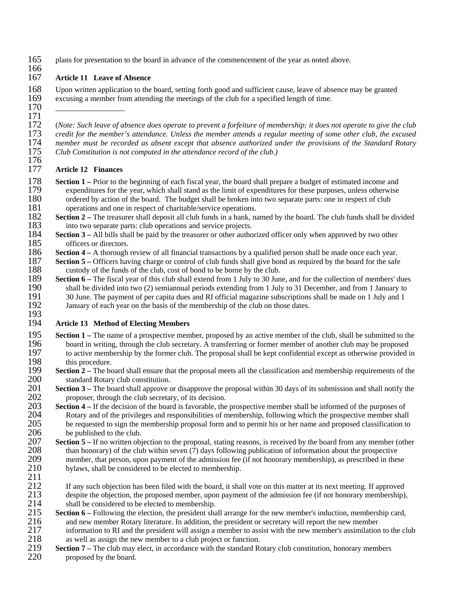165 plans for presentation to the board in advance of the commencement of the year as noted above.

#### 166<br>167 Article 11 Leave of Absence

168 Upon written application to the board, setting forth good and sufficient cause, leave of absence may be granted excusing a member from attending the meetings of the club for a specified length of time. excusing a member from attending the meetings of the club for a specified length of time.

170 \_\_\_\_\_\_\_\_\_\_\_\_\_\_\_\_\_\_

171 172 (*Note: Such leave of absence does operate to prevent a forfeiture of membership; it does not operate to give the club*  173 *credit for the member's attendance. Unless the member attends a regular meeting of some other club, the excused*  174 *member must be recorded as absent except that absence authorized under the provisions of the Standard Rotary Club Constitution is not computed in the attendance record of the club.*)

#### 176<br>177 **Article 12 Finances**

- **Section 1** Prior to the beginning of each fiscal year, the board shall prepare a budget of estimated income and expenditures for the year, which shall stand as the limit of expenditures for these purposes, unless otherw 179 expenditures for the year, which shall stand as the limit of expenditures for these purposes, unless otherwise ordered by action of the board. The budget shall be broken into two separate parts: one in respect of club 180 ordered by action of the board. The budget shall be broken into two separate parts: one in respect of club operations and one in respect of charitable/service operations. 181 operations and one in respect of charitable/service operations.<br>182 **Section 2** – The treasurer shall deposit all club funds in a bank, na
- **Section 2** The treasurer shall deposit all club funds in a bank, named by the board. The club funds shall be divided into two separate parts: club operations and service projects. 183 into two separate parts: club operations and service projects.<br>184 **Section 3** – All bills shall be paid by the treasurer or other author
- **Section 3** All bills shall be paid by the treasurer or other authorized officer only when approved by two other 185 officers or directors. 185 officers or directors.<br>186 **Section 4** – A thorough
- **Section 4 A** thorough review of all financial transactions by a qualified person shall be made once each year.<br>187 Section 5 Officers having charge or control of club funds shall give bond as required by the board for
- **Section 5** Officers having charge or control of club funds shall give bond as required by the board for the safe custody of the funds of the club, cost of bond to be borne by the club. custody of the funds of the club, cost of bond to be borne by the club.
- **Section 6** The fiscal year of this club shall extend from 1 July to 30 June, and for the collection of members' dues shall be divided into two (2) semiannual periods extending from 1 July to 31 December, and from 1 Janu 190 shall be divided into two (2) semiannual periods extending from 1 July to 31 December, and from 1 January to 191 30 June. The payment of per capita dues and RI official magazine subscriptions shall be made on 1 July an 191 30 June. The payment of per capita dues and RI official magazine subscriptions shall be made on 1 July and 1<br>192 January of each year on the basis of the membership of the club on those dates. January of each year on the basis of the membership of the club on those dates.

### 193<br>194 Article 13 Method of Electing Members

- **Section 1** The name of a prospective member, proposed by an active member of the club, shall be submitted to the board in writing, through the club secretary. A transferring or former member of another club may be propo 196 board in writing, through the club secretary. A transferring or former member of another club may be proposed<br>197 to active membership by the former club. The proposal shall be kept confidential except as otherwise pro 197 to active membership by the former club. The proposal shall be kept confidential except as otherwise provided in 198 this procedure. 198 this procedure.<br>199 **Section 2** – The bo
- **Section 2** The board shall ensure that the proposal meets all the classification and membership requirements of the 200 standard Rotary club constitution. 200 standard Rotary club constitution.<br>201 **Section 3** – The board shall approve of
- **Section 3** The board shall approve or disapprove the proposal within 30 days of its submission and shall notify the proposer, through the club secretary, of its decision. 202 proposer, through the club secretary, of its decision.<br>203 **Section 4** – If the decision of the board is favorable, the
- **Section 4** If the decision of the board is favorable, the prospective member shall be informed of the purposes of 204 Rotary and of the privileges and responsibilities of membership, following which the prospective memb 204 Rotary and of the privileges and responsibilities of membership, following which the prospective member shall<br>205 be requested to sign the membership proposal form and to permit his or her name and proposed classificat 205 be requested to sign the membership proposal form and to permit his or her name and proposed classification to 206 be published to the club. 206 be published to the club.<br>207 **Section 5** – If no written obj
- **Section 5** If no written objection to the proposal, stating reasons, is received by the board from any member (other 208 than honorary) of the club within seven (7) days following publication of information about the pr 208 than honorary) of the club within seven (7) days following publication of information about the prospective<br>209 member, that person, upon payment of the admission fee (if not honorary membership), as prescribed in the 209 member, that person, upon payment of the admission fee (if not honorary membership), as prescribed in these 210 bylaws, shall be considered to be elected to membership. bylaws, shall be considered to be elected to membership.
- $\frac{211}{212}$

212 If any such objection has been filed with the board, it shall vote on this matter at its next meeting. If approved <br>213 despite the objection, the proposed member, upon payment of the admission fee (if not honorary mem despite the objection, the proposed member, upon payment of the admission fee (if not honorary membership),

- 214 shall be considered to be elected to membership.<br>215 **Section 6** Following the election, the president sha **Section 6** – Following the election, the president shall arrange for the new member's induction, membership card, 216 and new member Rotary literature. In addition, the president or secretary will report the new member 216 and new member Rotary literature. In addition, the president or secretary will report the new member<br>217 information to RI and the president will assign a member to assist with the new member's assimilation 217 information to RI and the president will assign a member to assist with the new member's assimilation to the club<br>218 as well as assign the new member to a club project or function. as well as assign the new member to a club project or function.
- **Section 7** The club may elect, in accordance with the standard Rotary club constitution, honorary members 220 **Section** proposed by the board. proposed by the board.